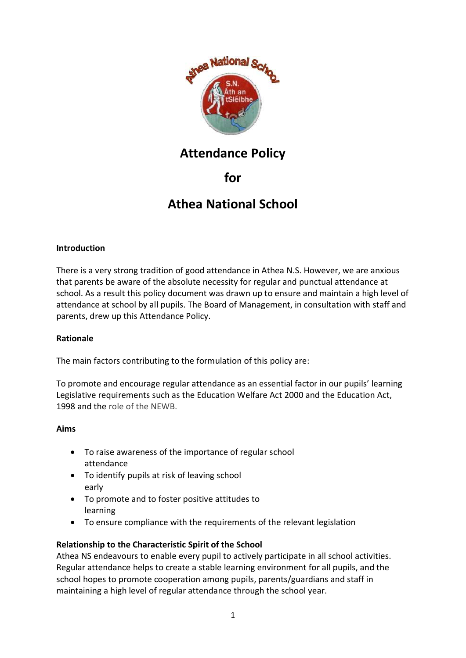

# **Attendance Policy**

## **for**

# **Athea National School**

#### **Introduction**

There is a very strong tradition of good attendance in Athea N.S. However, we are anxious that parents be aware of the absolute necessity for regular and punctual attendance at school. As a result this policy document was drawn up to ensure and maintain a high level of attendance at school by all pupils. The Board of Management, in consultation with staff and parents, drew up this Attendance Policy.

#### **Rationale**

The main factors contributing to the formulation of this policy are:

To promote and encourage regular attendance as an essential factor in our pupils' learning Legislative requirements such as the Education Welfare Act 2000 and the Education Act, 1998 and the role of the NEWB.

#### **Aims**

- To raise awareness of the importance of regular school attendance
- To identify pupils at risk of leaving school early
- To promote and to foster positive attitudes to learning
- To ensure compliance with the requirements of the relevant legislation

#### **Relationship to the Characteristic Spirit of the School**

Athea NS endeavours to enable every pupil to actively participate in all school activities. Regular attendance helps to create a stable learning environment for all pupils, and the school hopes to promote cooperation among pupils, parents/guardians and staff in maintaining a high level of regular attendance through the school year.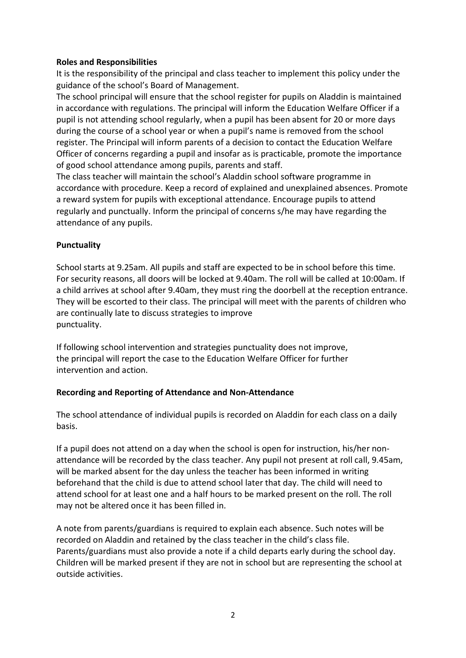#### **Roles and Responsibilities**

It is the responsibility of the principal and class teacher to implement this policy under the guidance of the school's Board of Management.

The school principal will ensure that the school register for pupils on Aladdin is maintained in accordance with regulations. The principal will inform the Education Welfare Officer if a pupil is not attending school regularly, when a pupil has been absent for 20 or more days during the course of a school year or when a pupil's name is removed from the school register. The Principal will inform parents of a decision to contact the Education Welfare Officer of concerns regarding a pupil and insofar as is practicable, promote the importance of good school attendance among pupils, parents and staff.

The class teacher will maintain the school's Aladdin school software programme in accordance with procedure. Keep a record of explained and unexplained absences. Promote a reward system for pupils with exceptional attendance. Encourage pupils to attend regularly and punctually. Inform the principal of concerns s/he may have regarding the attendance of any pupils.

#### **Punctuality**

School starts at 9.25am. All pupils and staff are expected to be in school before this time. For security reasons, all doors will be locked at 9.40am. The roll will be called at 10:00am. If a child arrives at school after 9.40am, they must ring the doorbell at the reception entrance. They will be escorted to their class. The principal will meet with the parents of children who are continually late to discuss strategies to improve punctuality.

If following school intervention and strategies punctuality does not improve, the principal will report the case to the Education Welfare Officer for further intervention and action.

#### **Recording and Reporting of Attendance and Non-Attendance**

The school attendance of individual pupils is recorded on Aladdin for each class on a daily basis.

If a pupil does not attend on a day when the school is open for instruction, his/her nonattendance will be recorded by the class teacher. Any pupil not present at roll call, 9.45am, will be marked absent for the day unless the teacher has been informed in writing beforehand that the child is due to attend school later that day. The child will need to attend school for at least one and a half hours to be marked present on the roll. The roll may not be altered once it has been filled in.

A note from parents/guardians is required to explain each absence. Such notes will be recorded on Aladdin and retained by the class teacher in the child's class file. Parents/guardians must also provide a note if a child departs early during the school day. Children will be marked present if they are not in school but are representing the school at outside activities.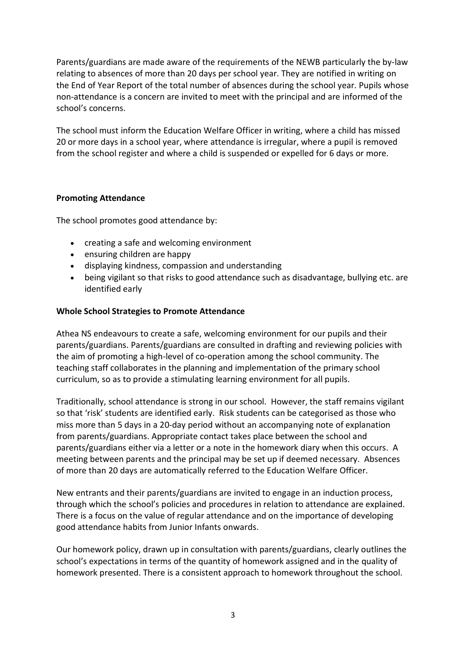Parents/guardians are made aware of the requirements of the NEWB particularly the by-law relating to absences of more than 20 days per school year. They are notified in writing on the End of Year Report of the total number of absences during the school year. Pupils whose non-attendance is a concern are invited to meet with the principal and are informed of the school's concerns.

The school must inform the Education Welfare Officer in writing, where a child has missed 20 or more days in a school year, where attendance is irregular, where a pupil is removed from the school register and where a child is suspended or expelled for 6 days or more.

#### **Promoting Attendance**

The school promotes good attendance by:

- creating a safe and welcoming environment
- ensuring children are happy
- displaying kindness, compassion and understanding
- being vigilant so that risks to good attendance such as disadvantage, bullying etc. are identified early

#### **Whole School Strategies to Promote Attendance**

Athea NS endeavours to create a safe, welcoming environment for our pupils and their parents/guardians. Parents/guardians are consulted in drafting and reviewing policies with the aim of promoting a high-level of co-operation among the school community. The teaching staff collaborates in the planning and implementation of the primary school curriculum, so as to provide a stimulating learning environment for all pupils.

Traditionally, school attendance is strong in our school. However, the staff remains vigilant so that 'risk' students are identified early. Risk students can be categorised as those who miss more than 5 days in a 20-day period without an accompanying note of explanation from parents/guardians. Appropriate contact takes place between the school and parents/guardians either via a letter or a note in the homework diary when this occurs. A meeting between parents and the principal may be set up if deemed necessary. Absences of more than 20 days are automatically referred to the Education Welfare Officer.

New entrants and their parents/guardians are invited to engage in an induction process, through which the school's policies and procedures in relation to attendance are explained. There is a focus on the value of regular attendance and on the importance of developing good attendance habits from Junior Infants onwards.

Our homework policy, drawn up in consultation with parents/guardians, clearly outlines the school's expectations in terms of the quantity of homework assigned and in the quality of homework presented. There is a consistent approach to homework throughout the school.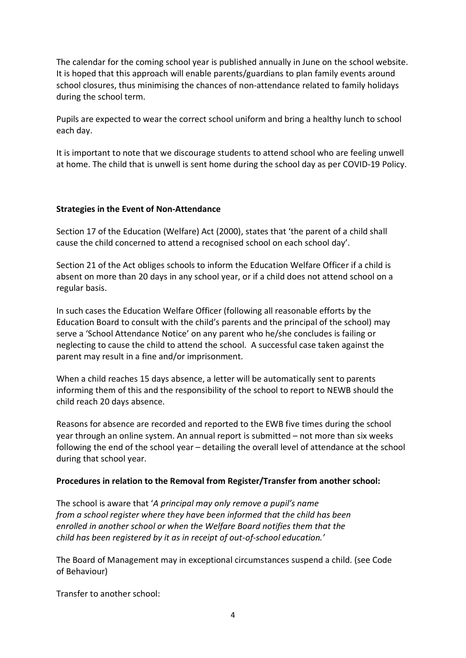The calendar for the coming school year is published annually in June on the school website. It is hoped that this approach will enable parents/guardians to plan family events around school closures, thus minimising the chances of non-attendance related to family holidays during the school term.

Pupils are expected to wear the correct school uniform and bring a healthy lunch to school each day.

It is important to note that we discourage students to attend school who are feeling unwell at home. The child that is unwell is sent home during the school day as per COVID-19 Policy.

#### **Strategies in the Event of Non-Attendance**

Section 17 of the Education (Welfare) Act (2000), states that 'the parent of a child shall cause the child concerned to attend a recognised school on each school day'.

Section 21 of the Act obliges schools to inform the Education Welfare Officer if a child is absent on more than 20 days in any school year, or if a child does not attend school on a regular basis.

In such cases the Education Welfare Officer (following all reasonable efforts by the Education Board to consult with the child's parents and the principal of the school) may serve a 'School Attendance Notice' on any parent who he/she concludes is failing or neglecting to cause the child to attend the school. A successful case taken against the parent may result in a fine and/or imprisonment.

When a child reaches 15 days absence, a letter will be automatically sent to parents informing them of this and the responsibility of the school to report to NEWB should the child reach 20 days absence.

Reasons for absence are recorded and reported to the EWB five times during the school year through an online system. An annual report is submitted – not more than six weeks following the end of the school year – detailing the overall level of attendance at the school during that school year.

#### **Procedures in relation to the Removal from Register/Transfer from another school:**

The school is aware that '*A principal may only remove a pupil's name from a school register where they have been informed that the child has been enrolled in another school or when the Welfare Board notifies them that the child has been registered by it as in receipt of out-of-school education.'*

The Board of Management may in exceptional circumstances suspend a child. (see Code of Behaviour)

Transfer to another school: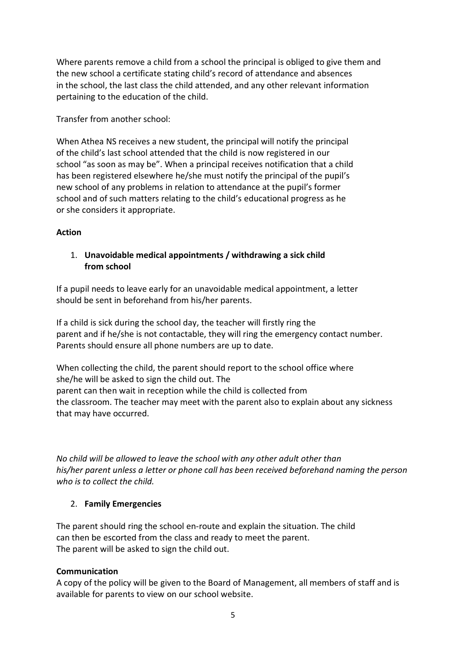Where parents remove a child from a school the principal is obliged to give them and the new school a certificate stating child's record of attendance and absences in the school, the last class the child attended, and any other relevant information pertaining to the education of the child.

Transfer from another school:

When Athea NS receives a new student, the principal will notify the principal of the child's last school attended that the child is now registered in our school "as soon as may be". When a principal receives notification that a child has been registered elsewhere he/she must notify the principal of the pupil's new school of any problems in relation to attendance at the pupil's former school and of such matters relating to the child's educational progress as he or she considers it appropriate.

#### **Action**

#### 1. **Unavoidable medical appointments / withdrawing a sick child from school**

If a pupil needs to leave early for an unavoidable medical appointment, a letter should be sent in beforehand from his/her parents.

If a child is sick during the school day, the teacher will firstly ring the parent and if he/she is not contactable, they will ring the emergency contact number. Parents should ensure all phone numbers are up to date.

When collecting the child, the parent should report to the school office where she/he will be asked to sign the child out. The parent can then wait in reception while the child is collected from the classroom. The teacher may meet with the parent also to explain about any sickness that may have occurred.

*No child will be allowed to leave the school with any other adult other than his/her parent unless a letter or phone call has been received beforehand naming the person who is to collect the child.*

#### 2. **Family Emergencies**

The parent should ring the school en-route and explain the situation. The child can then be escorted from the class and ready to meet the parent. The parent will be asked to sign the child out.

#### **Communication**

A copy of the policy will be given to the Board of Management, all members of staff and is available for parents to view on our school website.